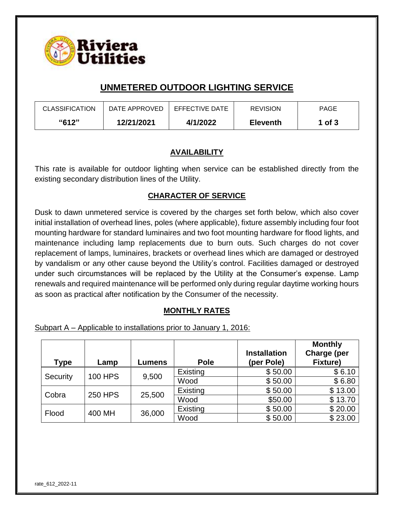

# **UNMETERED OUTDOOR LIGHTING SERVICE**

| <b>CLASSIFICATION</b> | DATE APPROVED | EFFECTIVE DATE | <b>REVISION</b> | <b>PAGE</b> |
|-----------------------|---------------|----------------|-----------------|-------------|
| <b>"612"</b>          | 12/21/2021    | 4/1/2022       | <b>Eleventh</b> | 1 of 3      |

#### **AVAILABILITY**

This rate is available for outdoor lighting when service can be established directly from the existing secondary distribution lines of the Utility.

#### **CHARACTER OF SERVICE**

Dusk to dawn unmetered service is covered by the charges set forth below, which also cover initial installation of overhead lines, poles (where applicable), fixture assembly including four foot mounting hardware for standard luminaires and two foot mounting hardware for flood lights, and maintenance including lamp replacements due to burn outs. Such charges do not cover replacement of lamps, luminaires, brackets or overhead lines which are damaged or destroyed by vandalism or any other cause beyond the Utility's control. Facilities damaged or destroyed under such circumstances will be replaced by the Utility at the Consumer's expense. Lamp renewals and required maintenance will be performed only during regular daytime working hours as soon as practical after notification by the Consumer of the necessity.

#### **MONTHLY RATES**

Subpart A – Applicable to installations prior to January 1, 2016:

| <b>Type</b>                | Lamp           | Lumens | Pole     | <b>Installation</b><br>(per Pole) | <b>Monthly</b><br>Charge (per<br><b>Fixture)</b> |
|----------------------------|----------------|--------|----------|-----------------------------------|--------------------------------------------------|
| <b>100 HPS</b><br>Security |                | 9,500  | Existing | \$50.00                           | \$6.10                                           |
|                            |                |        | Wood     | \$50.00                           | \$6.80                                           |
| Cobra                      | <b>250 HPS</b> | 25,500 | Existing | \$50.00                           | \$13.00                                          |
|                            |                |        | Wood     | \$50.00                           | \$13.70                                          |
| Flood                      | 400 MH         | 36,000 | Existing | \$50.00                           | \$20.00                                          |
|                            |                |        | Wood     | \$50.00                           | \$23.00                                          |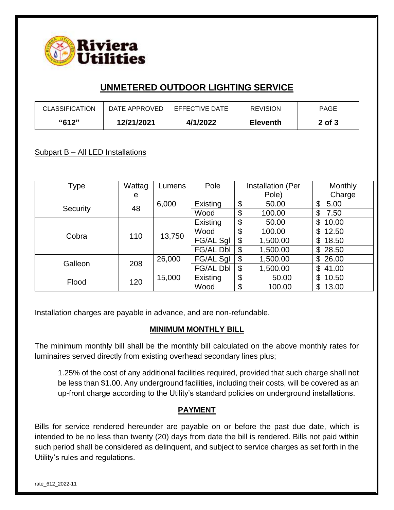

# **UNMETERED OUTDOOR LIGHTING SERVICE**

| <b>CLASSIFICATION</b> | DATE APPROVED | EFFECTIVE DATE | <b>REVISION</b> | PAGE       |
|-----------------------|---------------|----------------|-----------------|------------|
| "612"                 | 12/21/2021    | 4/1/2022       | <b>Eleventh</b> | $2$ of $3$ |

### Subpart B - All LED Installations

| Type     | Wattag | Lumens | Pole             | Installation (Per | <b>Monthly</b> |
|----------|--------|--------|------------------|-------------------|----------------|
|          | e      |        |                  | Pole)             | Charge         |
|          | 48     | 6,000  | Existing         | \$<br>50.00       | \$<br>5.00     |
| Security |        |        | Wood             | \$<br>100.00      | \$<br>7.50     |
| Cobra    | 110    | 13,750 | Existing         | \$<br>50.00       | \$<br>10.00    |
|          |        |        | Wood             | \$<br>100.00      | \$<br>12.50    |
|          |        |        | FG/AL Sgl        | \$<br>1,500.00    | \$<br>18.50    |
|          |        |        | <b>FG/AL Dbl</b> | \$<br>1,500.00    | \$<br>28.50    |
| Galleon  | 208    | 26,000 | FG/AL Sgl        | \$<br>1,500.00    | \$<br>26.00    |
|          |        |        | <b>FG/AL Dbl</b> | \$<br>1,500.00    | \$<br>41.00    |
| Flood    | 120    | 15,000 | Existing         | \$<br>50.00       | \$<br>10.50    |
|          |        |        | Wood             | \$<br>100.00      | \$<br>13.00    |

Installation charges are payable in advance, and are non-refundable.

#### **MINIMUM MONTHLY BILL**

The minimum monthly bill shall be the monthly bill calculated on the above monthly rates for luminaires served directly from existing overhead secondary lines plus;

1.25% of the cost of any additional facilities required, provided that such charge shall not be less than \$1.00. Any underground facilities, including their costs, will be covered as an up-front charge according to the Utility's standard policies on underground installations.

#### **PAYMENT**

Bills for service rendered hereunder are payable on or before the past due date, which is intended to be no less than twenty (20) days from date the bill is rendered. Bills not paid within such period shall be considered as delinquent, and subject to service charges as set forth in the Utility's rules and regulations.